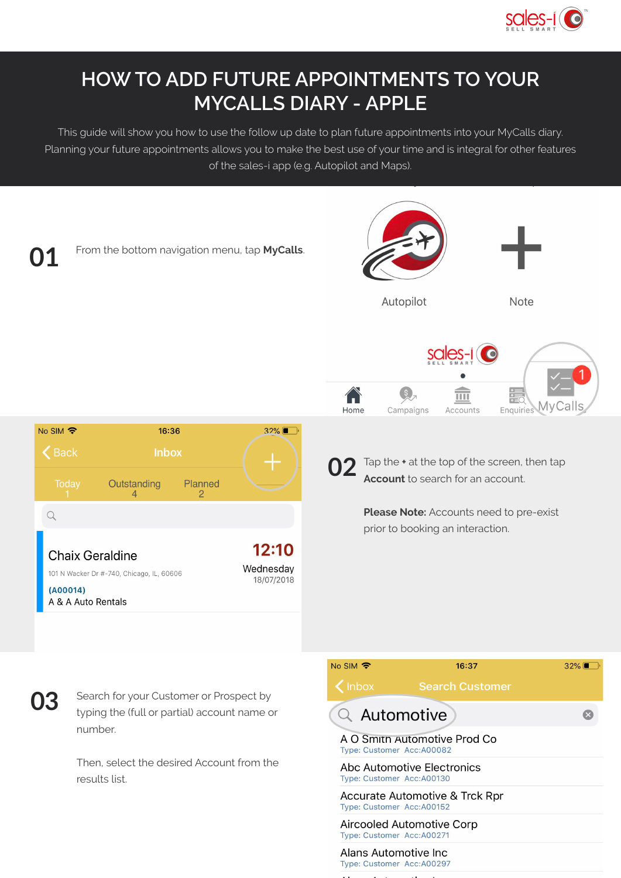

## **HOW TO ADD FUTURE APPOINTMENTS TO YOUR MYCALLS DIARY - APPLE**

This guide will show you how to use the follow up date to plan future appointments into your MyCalls diary. Planning your future appointments allows you to make the best use of your time and is integral for other features of the sales-i app (e.g. Autopilot and Maps).



Search for your Customer or Prospect by typing the (full or partial) account name or number.

Then, select the desired Account from the results list.

| No SIM                                              | 16:37                          | $32\%$ |
|-----------------------------------------------------|--------------------------------|--------|
| <b>Inbox</b>                                        | <b>Search Customer</b>         |        |
| Q Automotive                                        |                                |        |
| Type: Customer Acc: A00082                          | A O Smith Automotive Prod Co   |        |
| Type: Customer Acc: A00130                          | Abc Automotive Electronics     |        |
| Type: Customer Acc: A00152                          | Accurate Automotive & Trck Rpr |        |
| Type: Customer Acc: A00271                          | Aircooled Automotive Corp      |        |
| Alans Automotive Inc.<br>Type: Customer Acc: A00297 |                                |        |